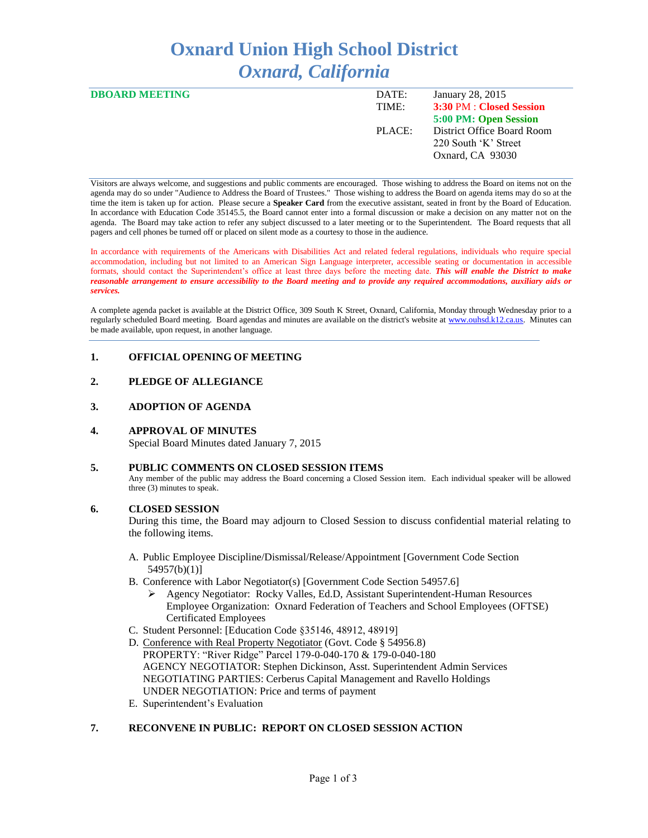# **Oxnard Union High School District** *Oxnard, California*

| <b>DBOARD MEETING</b> | DATE:  | January 28, 2015           |
|-----------------------|--------|----------------------------|
|                       | TIME:  | 3:30 PM : Closed Session   |
|                       |        | 5:00 PM: Open Session      |
|                       | PLACE: | District Office Board Room |
|                       |        | 220 South 'K' Street       |
|                       |        | Oxnard, CA 93030           |
|                       |        |                            |

Visitors are always welcome, and suggestions and public comments are encouraged. Those wishing to address the Board on items not on the agenda may do so under "Audience to Address the Board of Trustees." Those wishing to address the Board on agenda items may do so at the time the item is taken up for action. Please secure a **Speaker Card** from the executive assistant, seated in front by the Board of Education. In accordance with Education Code 35145.5, the Board cannot enter into a formal discussion or make a decision on any matter not on the agenda. The Board may take action to refer any subject discussed to a later meeting or to the Superintendent. The Board requests that all pagers and cell phones be turned off or placed on silent mode as a courtesy to those in the audience.

In accordance with requirements of the Americans with Disabilities Act and related federal regulations, individuals who require special accommodation, including but not limited to an American Sign Language interpreter, accessible seating or documentation in accessible formats, should contact the Superintendent's office at least three days before the meeting date. *This will enable the District to make reasonable arrangement to ensure accessibility to the Board meeting and to provide any required accommodations, auxiliary aids or services.* 

A complete agenda packet is available at the District Office, 309 South K Street, Oxnard, California, Monday through Wednesday prior to a regularly scheduled Board meeting. Board agendas and minutes are available on the district's website a[t www.ouhsd.k12.ca.us.](http://www.ouhsd.k12.ca.us/)Minutes can be made available, upon request, in another language.

# **1. OFFICIAL OPENING OF MEETING**

# **2. PLEDGE OF ALLEGIANCE**

# **3. ADOPTION OF AGENDA**

# **4. APPROVAL OF MINUTES**

Special Board Minutes dated January 7, 2015

# **5. PUBLIC COMMENTS ON CLOSED SESSION ITEMS**

Any member of the public may address the Board concerning a Closed Session item. Each individual speaker will be allowed three (3) minutes to speak.

# **6. CLOSED SESSION**

During this time, the Board may adjourn to Closed Session to discuss confidential material relating to the following items.

- A. Public Employee Discipline/Dismissal/Release/Appointment [Government Code Section 54957(b)(1)]
- B. Conference with Labor Negotiator(s) [Government Code Section 54957.6]
	- Agency Negotiator: Rocky Valles, Ed.D, Assistant Superintendent-Human Resources Employee Organization: Oxnard Federation of Teachers and School Employees (OFTSE) Certificated Employees
- C. Student Personnel: [Education Code §35146, 48912, 48919]
- D. Conference with Real Property Negotiator (Govt. Code § 54956.8) PROPERTY: "River Ridge" Parcel 179-0-040-170 & 179-0-040-180 AGENCY NEGOTIATOR: Stephen Dickinson, Asst. Superintendent Admin Services NEGOTIATING PARTIES: Cerberus Capital Management and Ravello Holdings UNDER NEGOTIATION: Price and terms of payment
- E. Superintendent's Evaluation

# **7. RECONVENE IN PUBLIC: REPORT ON CLOSED SESSION ACTION**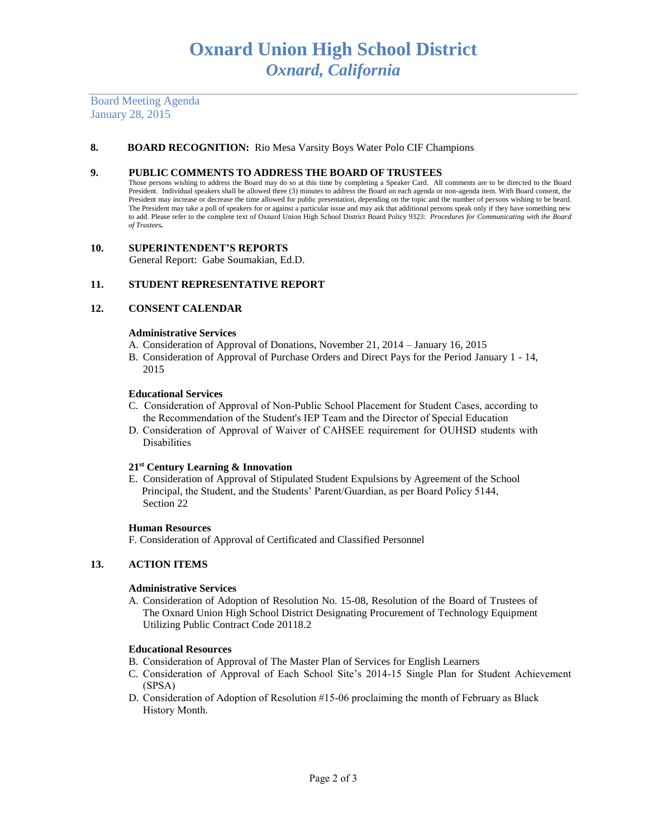Board Meeting Agenda January 28, 2015

## **8. BOARD RECOGNITION:** Rio Mesa Varsity Boys Water Polo CIF Champions

### **9. PUBLIC COMMENTS TO ADDRESS THE BOARD OF TRUSTEES**

Those persons wishing to address the Board may do so at this time by completing a Speaker Card. All comments are to be directed to the Board President. Individual speakers shall be allowed three (3) minutes to address the Board on each agenda or non-agenda item. With Board consent, the President may increase or decrease the time allowed for public presentation, depending on the topic and the number of persons wishing to be heard. The President may take a poll of speakers for or against a particular issue and may ask that additional persons speak only if they have something new to add. Please refer to the complete text of Oxnard Union High School District Board Policy 9323: *Procedures for Communicating with the Board of Trustees.*

#### **10. SUPERINTENDENT'S REPORTS**

General Report: Gabe Soumakian, Ed.D.

## **11. STUDENT REPRESENTATIVE REPORT**

## **12. CONSENT CALENDAR**

#### **Administrative Services**

- A. Consideration of Approval of Donations, November 21, 2014 January 16, 2015
- B. Consideration of Approval of Purchase Orders and Direct Pays for the Period January 1 14, 2015

#### **Educational Services**

- C. Consideration of Approval of Non-Public School Placement for Student Cases, according to the Recommendation of the Student's IEP Team and the Director of Special Education
- D. Consideration of Approval of Waiver of CAHSEE requirement for OUHSD students with Disabilities

## **21st Century Learning & Innovation**

E. Consideration of Approval of Stipulated Student Expulsions by Agreement of the School Principal, the Student, and the Students' Parent/Guardian, as per Board Policy 5144, Section 22

#### **Human Resources**

F. Consideration of Approval of Certificated and Classified Personnel

# **13. ACTION ITEMS**

#### **Administrative Services**

A. Consideration of Adoption of Resolution No. 15-08, Resolution of the Board of Trustees of The Oxnard Union High School District Designating Procurement of Technology Equipment Utilizing Public Contract Code 20118.2

#### **Educational Resources**

- B. Consideration of Approval of The Master Plan of Services for English Learners
- C. Consideration of Approval of Each School Site's 2014-15 Single Plan for Student Achievement (SPSA)
- D. Consideration of Adoption of Resolution #15-06 proclaiming the month of February as Black History Month.